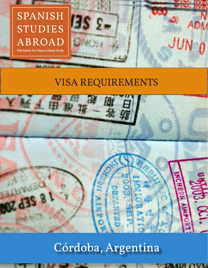

## VISA REQUIREMENTS



# Córdoba, Argentina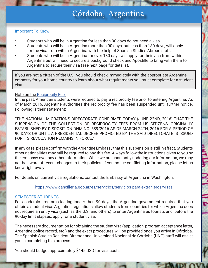### Córdoba, Argentina

#### Important To Know:

• Students who will be in Argentina for less than 90 days do not need a visa. • Students who will be in Argentina more than 90 days, but less than 180 days, will apply for the visa from within Argentina with the help of Spanish Studies Abroad staff. • Students who will be in Argentina for over 180 days will apply for their visa from within Argentina but will need to secure a background check and Apostille to bring with them to Argentina to secure their visa (see next page for details).

If you are not a citizen of the U.S., you should check immediately with the appropriate Argentine embassy for your home country to learn about what requirements you must complete for a student visa.

#### Note on the Reciprocity Fee:

In the past, American students were required to pay a reciprocity fee prior to entering Argentina. As of March 2016, Argentine authorities the reciprocity fee has been suspended until further notice. Following is their statement:

"THE NATIONAL MIGRATIONS DIRECTORATE CONFIRMED TODAY (JUNE 22ND, 2016) THAT THE SUSPENSION OF THE COLLECTION OF RECIPROCITY FEES FROM US CITIZENS, ORIGINALLY ESTABLISHED BY DISPOSITION DNM NO. 589/2016 AS OF MARCH 24TH, 2016 FOR A PERIOD OF 90 DAYS OR UNTIL A PRESIDENTIAL DECREE PROMOTED BY THE SAID DIRECTORATE IS ISSUED FOR ITS REVOCATION REMAINS IN FORCE."

In any case, please confirm with the Argentine Embassy that this suspension is still in effect. Students other nationalities may still be required to pay this fee. Always follow the instructions given to you by the embassy over any other information. While we are constantly updating our information, we may not be aware of recent changes to their policies. If you notice conflicting information, please let us know right away.

For details on current visa regulations, contact the Embassy of Argentina in Washington:

https://www.cancilleria.gob.ar/es/servicios/servicios-para-extranjeros/visas

#### SEMESTER STUDENTS

For academic programs lasting longer than 90 days, the Argentine government requires that you obtain a student visa. Argentine regulations allow students from countries for which Argentina does not require an entry visa (such as the U.S. and others) to enter Argentina as tourists and, before the 90-day limit elapses, apply for a student visa.

The necessary documentation for obtaining the student visa (application, program acceptance letter, Argentine police record, etc.) and the exact procedures will be provided once you arrive in Córdoba. The Spanish Studies Resident Director and Universidad Nacional de Córdoba (UNC) staff will assist you in completing this process.

You should budget approximately \$145 USD for visa costs.